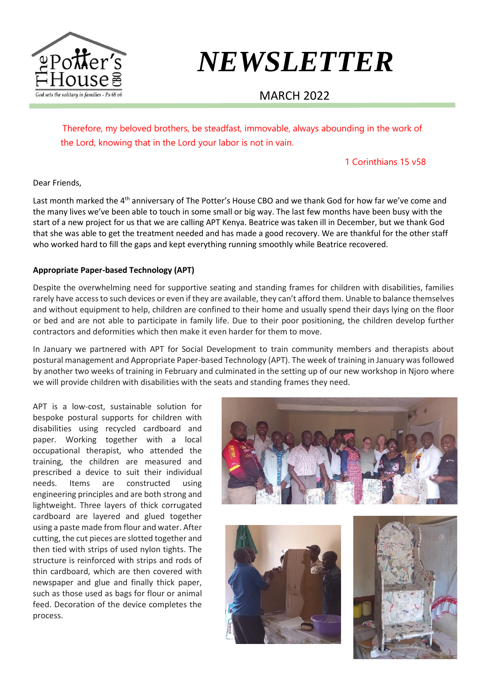

# *NEWSLETTER*

## MARCH 2022

Therefore, my beloved brothers, be steadfast, immovable, always abounding in the work of the Lord, knowing that in the Lord your labor is not in vain.

#### 1 Corinthians 15 v58

Dear Friends,

Last month marked the 4<sup>th</sup> anniversary of The Potter's House CBO and we thank God for how far we've come and the many lives we've been able to touch in some small or big way. The last few months have been busy with the start of a new project for us that we are calling APT Kenya. Beatrice was taken ill in December, but we thank God that she was able to get the treatment needed and has made a good recovery. We are thankful for the other staff who worked hard to fill the gaps and kept everything running smoothly while Beatrice recovered.

#### **Appropriate Paper-based Technology (APT)**

Despite the overwhelming need for supportive seating and standing frames for children with disabilities, families rarely have access to such devices or even if they are available, they can't afford them. Unable to balance themselves and without equipment to help, children are confined to their home and usually spend their days lying on the floor or bed and are not able to participate in family life. Due to their poor positioning, the children develop further contractors and deformities which then make it even harder for them to move.

In January we partnered with APT for Social Development to train community members and therapists about postural management and Appropriate Paper-based Technology (APT). The week of training in January was followed by another two weeks of training in February and culminated in the setting up of our new workshop in Njoro where we will provide children with disabilities with the seats and standing frames they need.

APT is a low-cost, sustainable solution for bespoke postural supports for children with disabilities using recycled cardboard and paper. Working together with a local occupational therapist, who attended the training, the children are measured and prescribed a device to suit their individual needs. Items are constructed using engineering principles and are both strong and lightweight. Three layers of thick corrugated cardboard are layered and glued together using a paste made from flour and water. After cutting, the cut pieces are slotted together and then tied with strips of used nylon tights. The structure is reinforced with strips and rods of thin cardboard, which are then covered with newspaper and glue and finally thick paper, such as those used as bags for flour or animal feed. Decoration of the device completes the process.





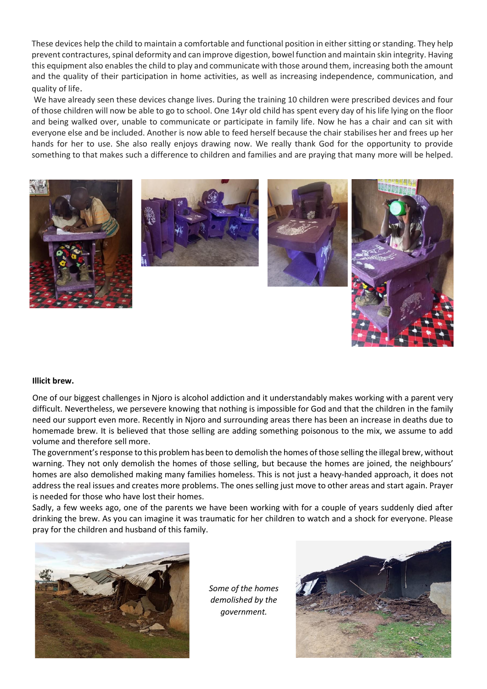prevent contractures, spinal deformity and can improve digestion, bowel function and maintain skin integrity. Having These devices help the child to maintain a comfortable and functional position in either sitting or standing. They help this equipment also enables the child to play and communicate with those around them, increasing both the amount and the quality of their participation in home activities, as well as increasing independence, communication, and quality of life.

We have already seen these devices change lives. During the training 10 children were prescribed devices and four of those children will now be able to go to school. One 14yr old child has spent every day of his life lying on the floor and being walked over, unable to communicate or participate in family life. Now he has a chair and can sit with everyone else and be included. Another is now able to feed herself because the chair stabilises her and frees up her hands for her to use. She also really enjoys drawing now. We really thank God for the opportunity to provide something to that makes such a difference to children and families and are praying that many more will be helped.



#### **Illicit brew.**

One of our biggest challenges in Njoro is alcohol addiction and it understandably makes working with a parent very difficult. Nevertheless, we persevere knowing that nothing is impossible for God and that the children in the family need our support even more. Recently in Njoro and surrounding areas there has been an increase in deaths due to homemade brew. It is believed that those selling are adding something poisonous to the mix, we assume to add volume and therefore sell more.

The government's response to this problem has been to demolish the homes of those selling the illegal brew, without warning. They not only demolish the homes of those selling, but because the homes are joined, the neighbours' homes are also demolished making many families homeless. This is not just a heavy-handed approach, it does not address the real issues and creates more problems. The ones selling just move to other areas and start again. Prayer is needed for those who have lost their homes.

Sadly, a few weeks ago, one of the parents we have been working with for a couple of years suddenly died after drinking the brew. As you can imagine it was traumatic for her children to watch and a shock for everyone. Please pray for the children and husband of this family.



*Some of the homes demolished by the government.*